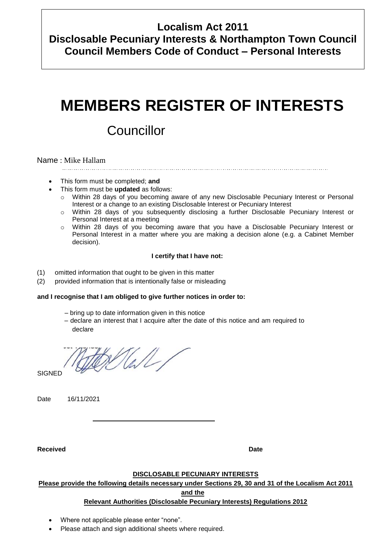## **Localism Act 2011**

**Disclosable Pecuniary Interests & Northampton Town Council Council Members Code of Conduct – Personal Interests**

# **MEMBERS REGISTER OF INTERESTS**

## **Councillor**

#### Name : Mike Hallam

- This form must be completed; **and**
	- This form must be **updated** as follows:
		- Within 28 days of you becoming aware of any new Disclosable Pecuniary Interest or Personal Interest or a change to an existing Disclosable Interest or Pecuniary Interest
		- o Within 28 days of you subsequently disclosing a further Disclosable Pecuniary Interest or Personal Interest at a meeting
		- o Within 28 days of you becoming aware that you have a Disclosable Pecuniary Interest or Personal Interest in a matter where you are making a decision alone (e.g. a Cabinet Member decision).

#### **I certify that I have not:**

- (1) omitted information that ought to be given in this matter
- (2) provided information that is intentionally false or misleading

#### **and I recognise that I am obliged to give further notices in order to:**

- bring up to date information given in this notice
- declare an interest that I acquire after the date of this notice and am required to declare

Hall/

**SIGNED** 

Date 16/11/2021

**Received Date**

#### **DISCLOSABLE PECUNIARY INTERESTS**

#### **Please provide the following details necessary under Sections 29, 30 and 31 of the Localism Act 2011**

**and the**

#### **Relevant Authorities (Disclosable Pecuniary Interests) Regulations 2012**

- Where not applicable please enter "none".
- Please attach and sign additional sheets where required.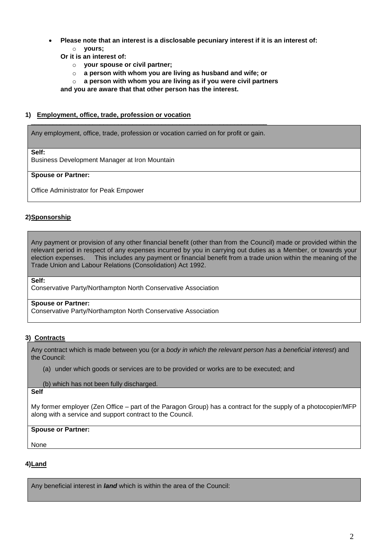- **Please note that an interest is a disclosable pecuniary interest if it is an interest of:** o **yours;**
	- **Or it is an interest of:**
		- o **your spouse or civil partner;**
		- o **a person with whom you are living as husband and wife; or**
		- o **a person with whom you are living as if you were civil partners**

**and you are aware that that other person has the interest.** 

#### **1) Employment, office, trade, profession or vocation** \_\_\_\_\_\_\_\_\_\_\_\_\_\_\_\_\_\_\_\_\_\_\_\_\_\_\_\_\_\_\_\_\_\_\_\_\_\_\_\_\_\_\_\_\_\_\_\_\_\_\_\_\_\_\_\_\_\_\_\_\_\_\_\_\_

Any employment, office, trade, profession or vocation carried on for profit or gain.

**Self:**

Business Development Manager at Iron Mountain

#### **Spouse or Partner:**

Office Administrator for Peak Empower

#### **2)Sponsorship**

Any payment or provision of any other financial benefit (other than from the Council) made or provided within the relevant period in respect of any expenses incurred by you in carrying out duties as a Member, or towards your election expenses. This includes any payment or financial benefit from a trade union within the meaning of the [Trade Union and Labour Relations \(Consolidation\) Act 1](http://login.westlaw.co.uk/maf/wluk/app/document?src=doc&linktype=ref&&context=13&crumb-action=replace&docguid=I5FE396B0E42311DAA7CF8F68F6EE57AB)992.

**Self:**

Conservative Party/Northampton North Conservative Association

#### **Spouse or Partner:**

Conservative Party/Northampton North Conservative Association

#### **3) Contracts**

Any contract which is made between you (or a *body in which the relevant person has a beneficial interest*) and the Council:

- (a) under which goods or services are to be provided or works are to be executed; and
- (b) which has not been fully discharged.

**Self**

My former employer (Zen Office – part of the Paragon Group) has a contract for the supply of a photocopier/MFP along with a service and support contract to the Council.

#### **Spouse or Partner:**

None

#### **4)Land**

Any beneficial interest in *land* which is within the area of the Council: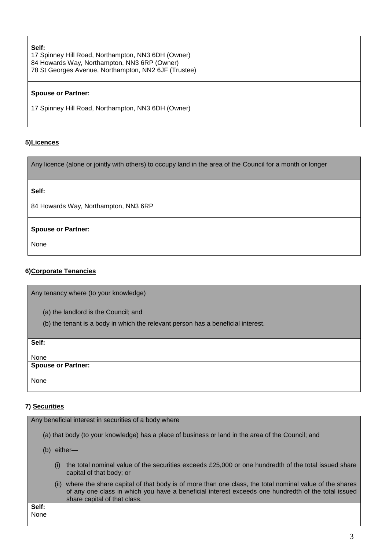#### **Self:**

17 Spinney Hill Road, Northampton, NN3 6DH (Owner) 84 Howards Way, Northampton, NN3 6RP (Owner) 78 St Georges Avenue, Northampton, NN2 6JF (Trustee)

#### **Spouse or Partner:**

17 Spinney Hill Road, Northampton, NN3 6DH (Owner)

#### **5)Licences**

Any licence (alone or jointly with others) to occupy land in the area of the Council for a month or longer

**Self:**

84 Howards Way, Northampton, NN3 6RP

#### **Spouse or Partner:**

None

#### **6)Corporate Tenancies**

Any tenancy where (to your knowledge)

- (a) the landlord is the Council; and
- (b) the tenant is a body in which the relevant person has a beneficial interest.

| Self:                      |  |
|----------------------------|--|
|                            |  |
|                            |  |
|                            |  |
| None<br>Spouse or Partner: |  |
|                            |  |
|                            |  |
| None                       |  |
|                            |  |

#### **7) Securities**

| Any beneficial interest in securities of a body where                                                                                                                                                                                                          |  |  |  |
|----------------------------------------------------------------------------------------------------------------------------------------------------------------------------------------------------------------------------------------------------------------|--|--|--|
| (a) that body (to your knowledge) has a place of business or land in the area of the Council; and                                                                                                                                                              |  |  |  |
| either—<br>(b)                                                                                                                                                                                                                                                 |  |  |  |
| the total nominal value of the securities exceeds £25,000 or one hundredth of the total issued share<br>(i)<br>capital of that body; or                                                                                                                        |  |  |  |
| where the share capital of that body is of more than one class, the total nominal value of the shares<br>$(\mathbf{II})$<br>of any one class in which you have a beneficial interest exceeds one hundredth of the total issued<br>share capital of that class. |  |  |  |
| Self:<br>None                                                                                                                                                                                                                                                  |  |  |  |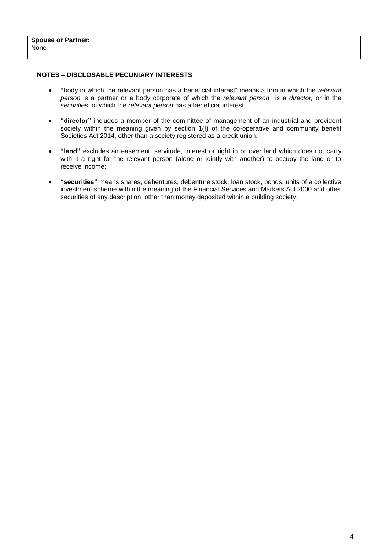#### **NOTES – DISCLOSABLE PECUNIARY INTERESTS**

- **"**body in which the relevant person has a beneficial interest" means a firm in which the *relevant person* is a partner or a body corporate of which the *relevant person* is a *director,* or in the *securities* of which the *relevant person* has a beneficial interest;
- **"director"** includes a member of the committee of management of an industrial and provident society within the meaning given by section 1(I) of the co-operative and community benefit Societies Act 2014, other than a society registered as a credit union.
- **"land"** excludes an easement, servitude, interest or right in or over land which does not carry with it a right for the relevant person (alone or jointly with another) to occupy the land or to receive income;
- **"securities"** means shares, debentures, debenture stock, loan stock, bonds, units of a collective investment scheme within the meaning of the Financial Services and Markets Act 2000 and other securities of any description, other than money deposited within a building society.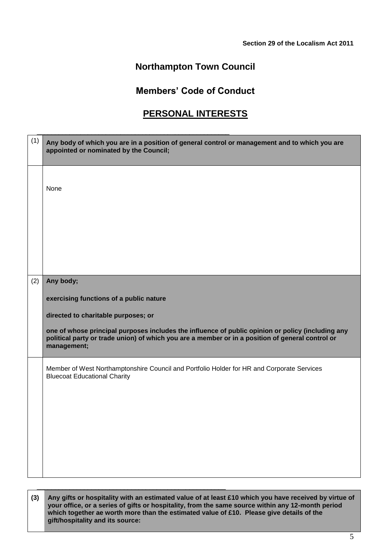## **Northampton Town Council**

### **Members' Code of Conduct**

## **PERSONAL INTERESTS**

| (1) | Any body of which you are in a position of general control or management and to which you are<br>appointed or nominated by the Council;                                                                              |
|-----|----------------------------------------------------------------------------------------------------------------------------------------------------------------------------------------------------------------------|
|     |                                                                                                                                                                                                                      |
|     | None                                                                                                                                                                                                                 |
|     |                                                                                                                                                                                                                      |
|     |                                                                                                                                                                                                                      |
|     |                                                                                                                                                                                                                      |
|     |                                                                                                                                                                                                                      |
|     |                                                                                                                                                                                                                      |
|     |                                                                                                                                                                                                                      |
| (2) | Any body;                                                                                                                                                                                                            |
|     | exercising functions of a public nature                                                                                                                                                                              |
|     | directed to charitable purposes; or                                                                                                                                                                                  |
|     | one of whose principal purposes includes the influence of public opinion or policy (including any<br>political party or trade union) of which you are a member or in a position of general control or<br>management; |
|     | Member of West Northamptonshire Council and Portfolio Holder for HR and Corporate Services<br><b>Bluecoat Educational Charity</b>                                                                                    |
|     |                                                                                                                                                                                                                      |
|     |                                                                                                                                                                                                                      |
|     |                                                                                                                                                                                                                      |
|     |                                                                                                                                                                                                                      |
|     |                                                                                                                                                                                                                      |
|     |                                                                                                                                                                                                                      |
|     |                                                                                                                                                                                                                      |

**(3) Any gifts or hospitality with an estimated value of at least £10 which you have received by virtue of your office, or a series of gifts or hospitality, from the same source within any 12-month period**  which together ae worth more than the estimated value of £10. Please give details of the **gift/hospitality and its source:**

\_\_\_\_\_\_\_\_\_\_\_\_\_\_\_\_\_\_\_\_\_\_\_\_\_\_\_\_\_\_\_\_\_\_\_\_\_\_\_\_\_\_\_\_\_\_\_\_\_\_\_\_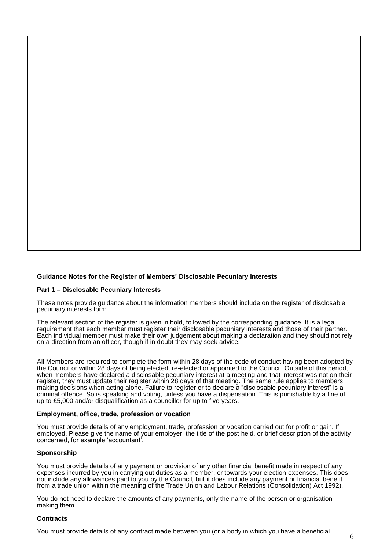#### **Guidance Notes for the Register of Members' Disclosable Pecuniary Interests**

#### **Part 1 – Disclosable Pecuniary Interests**

These notes provide guidance about the information members should include on the register of disclosable pecuniary interests form.

The relevant section of the register is given in bold, followed by the corresponding guidance. It is a legal requirement that each member must register their disclosable pecuniary interests and those of their partner. Each individual member must make their own judgement about making a declaration and they should not rely on a direction from an officer, though if in doubt they may seek advice.

All Members are required to complete the form within 28 days of the code of conduct having been adopted by the Council or within 28 days of being elected, re-elected or appointed to the Council. Outside of this period, when members have declared a disclosable pecuniary interest at a meeting and that interest was not on their register, they must update their register within 28 days of that meeting. The same rule applies to members making decisions when acting alone. Failure to register or to declare a "disclosable pecuniary interest" is a criminal offence. So is speaking and voting, unless you have a dispensation. This is punishable by a fine of up to £5,000 and/or disqualification as a councillor for up to five years.

#### **Employment, office, trade, profession or vocation**

You must provide details of any employment, trade, profession or vocation carried out for profit or gain. If employed. Please give the name of your employer, the title of the post held, or brief description of the activity concerned, for example 'accountant'.

#### **Sponsorship**

You must provide details of any payment or provision of any other financial benefit made in respect of any expenses incurred by you in carrying out duties as a member, or towards your election expenses. This does not include any allowances paid to you by the Council, but it does include any payment or financial benefit from a trade union within the meaning of the Trade Union and Labour Relations (Consolidation) Act 1992).

You do not need to declare the amounts of any payments, only the name of the person or organisation making them.

#### **Contracts**

You must provide details of any contract made between you (or a body in which you have a beneficial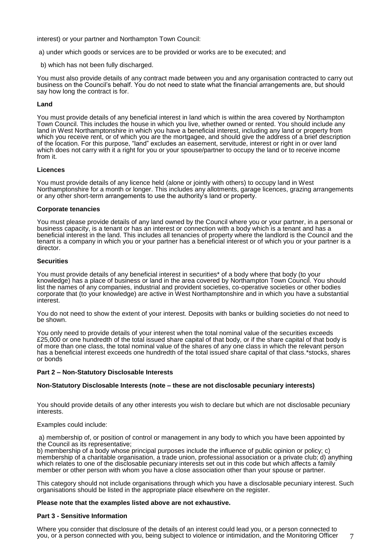interest) or your partner and Northampton Town Council:

a) under which goods or services are to be provided or works are to be executed; and

b) which has not been fully discharged.

You must also provide details of any contract made between you and any organisation contracted to carry out business on the Council's behalf. You do not need to state what the financial arrangements are, but should say how long the contract is for.

#### **Land**

You must provide details of any beneficial interest in land which is within the area covered by Northampton Town Council. This includes the house in which you live, whether owned or rented. You should include any land in West Northamptonshire in which you have a beneficial interest, including any land or property from which you receive rent, or of which you are the mortgagee, and should give the address of a brief description of the location. For this purpose, "land" excludes an easement, servitude, interest or right in or over land which does not carry with it a right for you or your spouse/partner to occupy the land or to receive income from it.

#### **Licences**

You must provide details of any licence held (alone or jointly with others) to occupy land in West Northamptonshire for a month or longer. This includes any allotments, garage licences, grazing arrangements or any other short-term arrangements to use the authority's land or property.

#### **Corporate tenancies**

You must please provide details of any land owned by the Council where you or your partner, in a personal or business capacity, is a tenant or has an interest or connection with a body which is a tenant and has a beneficial interest in the land. This includes all tenancies of property where the landlord is the Council and the tenant is a company in which you or your partner has a beneficial interest or of which you or your partner is a director.

#### **Securities**

You must provide details of any beneficial interest in securities\* of a body where that body (to your knowledge) has a place of business or land in the area covered by Northampton Town Council. You should list the names of any companies, industrial and provident societies, co-operative societies or other bodies corporate that (to your knowledge) are active in West Northamptonshire and in which you have a substantial interest.

You do not need to show the extent of your interest. Deposits with banks or building societies do not need to be shown.

You only need to provide details of your interest when the total nominal value of the securities exceeds £25,000 or one hundredth of the total issued share capital of that body, or if the share capital of that body is of more than one class, the total nominal value of the shares of any one class in which the relevant person has a beneficial interest exceeds one hundredth of the total issued share capital of that class.\*stocks, shares or bonds

#### **Part 2 – Non-Statutory Disclosable Interests**

#### **Non-Statutory Disclosable Interests (note – these are not disclosable pecuniary interests)**

You should provide details of any other interests you wish to declare but which are not disclosable pecuniary interests.

#### Examples could include:

a) membership of, or position of control or management in any body to which you have been appointed by the Council as its representative;

b) membership of a body whose principal purposes include the influence of public opinion or policy; c) membership of a charitable organisation, a trade union, professional association or a private club; d) anything which relates to one of the disclosable pecuniary interests set out in this code but which affects a family member or other person with whom you have a close association other than your spouse or partner.

This category should not include organisations through which you have a disclosable pecuniary interest. Such organisations should be listed in the appropriate place elsewhere on the register.

#### **Please note that the examples listed above are not exhaustive.**

#### **Part 3 - Sensitive Information**

Where you consider that disclosure of the details of an interest could lead you, or a person connected to you, or a person connected with you, being subject to violence or intimidation, and the Monitoring Officer

7